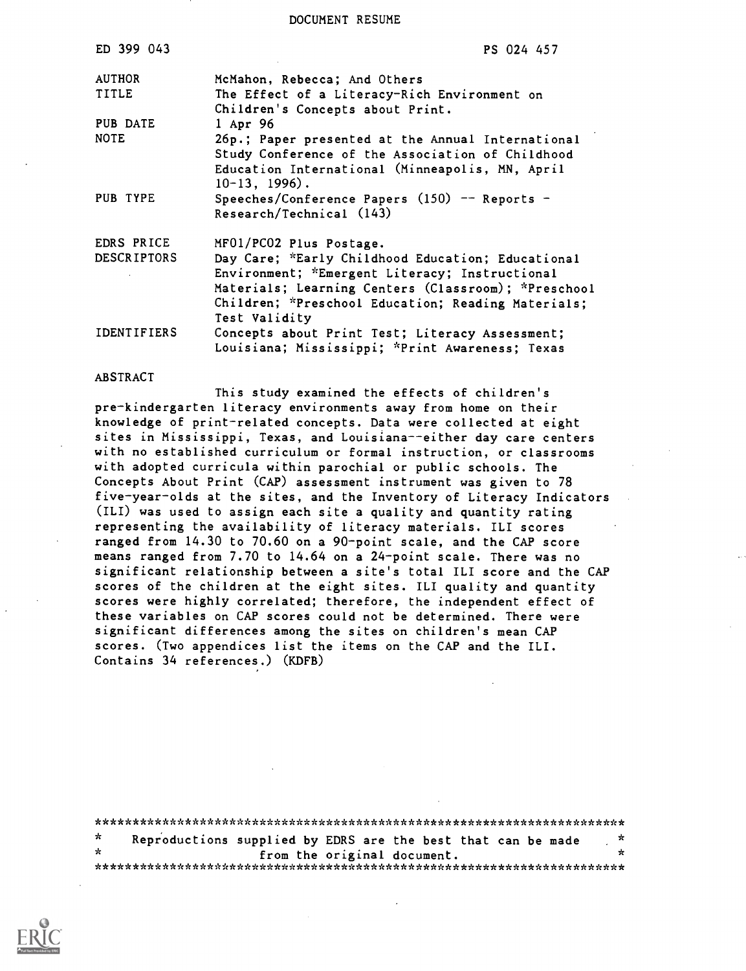DOCUMENT RESUME

| ED 399 043         | PS 024 457                                                                                                                                                                   |
|--------------------|------------------------------------------------------------------------------------------------------------------------------------------------------------------------------|
| <b>AUTHOR</b>      | McMahon, Rebecca; And Others                                                                                                                                                 |
| <b>TITLE</b>       | The Effect of a Literacy-Rich Environment on                                                                                                                                 |
|                    | Children's Concepts about Print.                                                                                                                                             |
| PUB DATE           | $1$ Apr 96                                                                                                                                                                   |
| <b>NOTE</b>        | 26p.; Paper presented at the Annual International<br>Study Conference of the Association of Childhood<br>Education International (Minneapolis, MN, April<br>$10-13$ , 1996). |
| PUB TYPE           | Speeches/Conference Papers $(150)$ -- Reports -                                                                                                                              |
|                    | Research/Technical (143)                                                                                                                                                     |
| EDRS PRICE         | MF01/PC02 Plus Postage.                                                                                                                                                      |
| <b>DESCRIPTORS</b> | Day Care; *Early Childhood Education; Educational                                                                                                                            |
|                    | Environment; *Emergent Literacy; Instructional                                                                                                                               |
|                    | Materials; Learning Centers (Classroom); *Preschool                                                                                                                          |
|                    | Children; *Preschool Education; Reading Materials;                                                                                                                           |
|                    | Test Validity                                                                                                                                                                |
| <b>IDENTIFIERS</b> | Concepts about Print Test; Literacy Assessment;                                                                                                                              |
|                    | Louisiana; Mississippi; *Print Awareness; Texas                                                                                                                              |

#### ABSTRACT

This study examined the effects of children's pre-kindergarten literacy environments away from home on their knowledge of print-related concepts. Data were collected at eight sites in Mississippi, Texas, and Louisiana--either day care centers with no established curriculum or formal instruction, or classrooms with adopted curricula within parochial or public schools. The Concepts About Print (CAP) assessment instrument was given to 78 five-year-olds at the sites, and the Inventory of Literacy Indicators (ILI) was used to assign each site a quality and quantity rating representing the availability of literacy materials. ILI scores ranged from 14.30 to 70.60 on a 90-point scale, and the CAP score means ranged from 7.70 to 14.64 on a 24-point scale. There was no significant relationship between a site's total ILI score and the CAP scores of the children at the eight sites. ILI quality and quantity scores were highly correlated; therefore, the independent effect of these variables on CAP scores could not be determined. There were significant differences among the sites on children's mean CAP scores. (Two appendices list the items on the CAP and the ILI. Contains 34 references.) (KDFB)

| *       | Reproductions supplied by EDRS are the best that can be made | - 70 |
|---------|--------------------------------------------------------------|------|
| $\star$ | from the original document.                                  | ×    |
|         |                                                              |      |

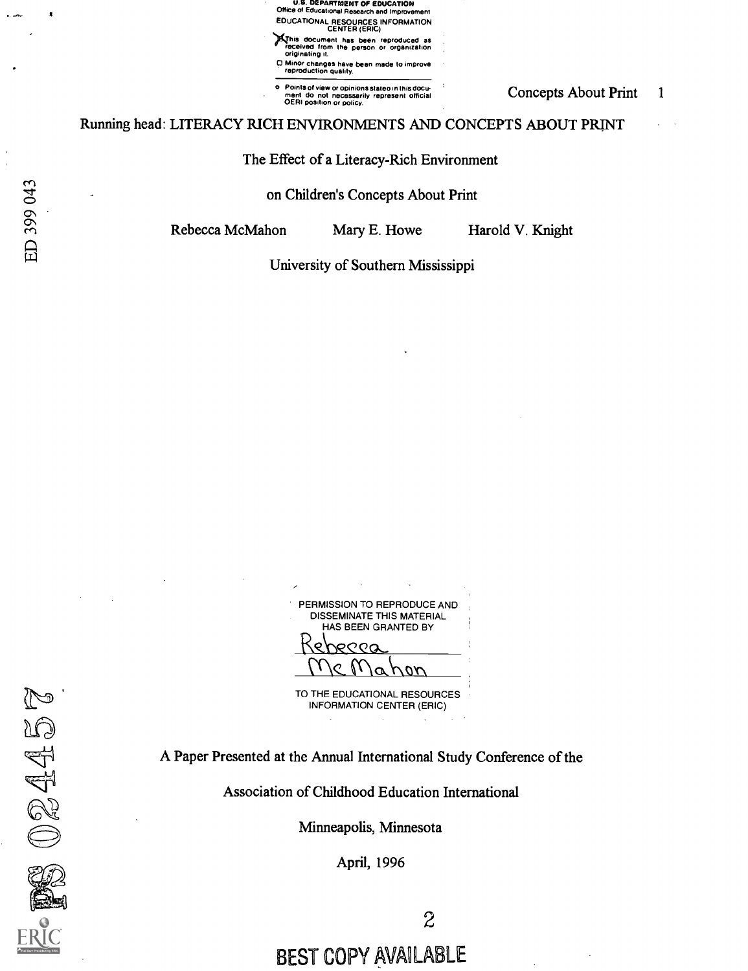<sup>a</sup> U.D. DEPARTMENT OF EDUCATION Office of Educational Research and Improvement EDUCATIONAL RESOURCES INFORMATION CENTER (ERIC)

)4his document has been reproduced as received I rom the person or organization originating it.

0 Minor changes have been made to improve reproduction quality.

o Points of view or opinions stateo in this docu-<br>ment do not necessarily represent official<br>OERI position or policy.

#### Running head: LITERACY RICH ENVIRONMENTS AND CONCEPTS ABOUT PRINT

#### The Effect of a Literacy-Rich Environment

#### on Children's Concepts About Print

Rebecca McMahon Mary E. Howe Harold V. Knight

University of Southern Mississippi

PERMISSION TO REPRODUCE AND DISSEMINATE THIS MATERIAL HAS BEEN GRANTED BY  $PQQQ$ Mahon I

TO THE EDUCATIONAL RESOURCES INFORMATION CENTER (ERIC)

A Paper Presented at the Annual International Study Conference of the

Association of Childhood Education International

Minneapolis, Minnesota

April, 1996

ED 399 043

BEST COPY AVAILABLE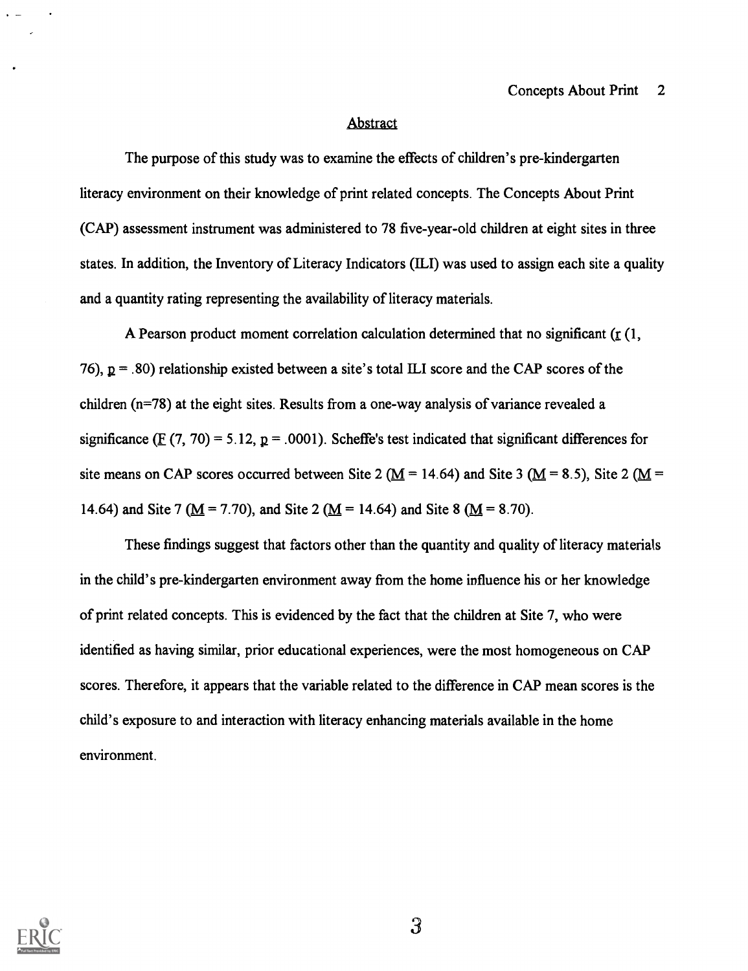#### Abstract

The purpose of this study was to examine the effects of children's pre-kindergarten literacy environment on their knowledge of print related concepts. The Concepts About Print (CAP) assessment instrument was administered to 78 five-year-old children at eight sites in three states. In addition, the Inventory of Literacy Indicators (ILI) was used to assign each site a quality and a quantity rating representing the availability of literacy materials.

A Pearson product moment correlation calculation determined that no significant ( $\Gamma$  (1, 76),  $p = .80$  relationship existed between a site's total ILI score and the CAP scores of the children (n=78) at the eight sites. Results from a one-way analysis of variance revealed a significance (F (7, 70) = 5.12,  $p = .0001$ ). Scheffe's test indicated that significant differences for site means on CAP scores occurred between Site 2 ( $\underline{M}$  = 14.64) and Site 3 ( $\underline{M}$  = 8.5), Site 2 ( $\underline{M}$  = 14.64) and Site 7 ( $M = 7.70$ ), and Site 2 ( $M = 14.64$ ) and Site 8 ( $M = 8.70$ ).

These findings suggest that factors other than the quantity and quality of literacy materials in the child's pre-kindergarten environment away from the home influence his or her knowledge of print related concepts. This is evidenced by the fact that the children at Site 7, who were identified as having similar, prior educational experiences, were the most homogeneous on CAP scores. Therefore, it appears that the variable related to the difference in CAP mean scores is the child's exposure to and interaction with literacy enhancing materials available in the home environment.



 $\mathfrak{Z}$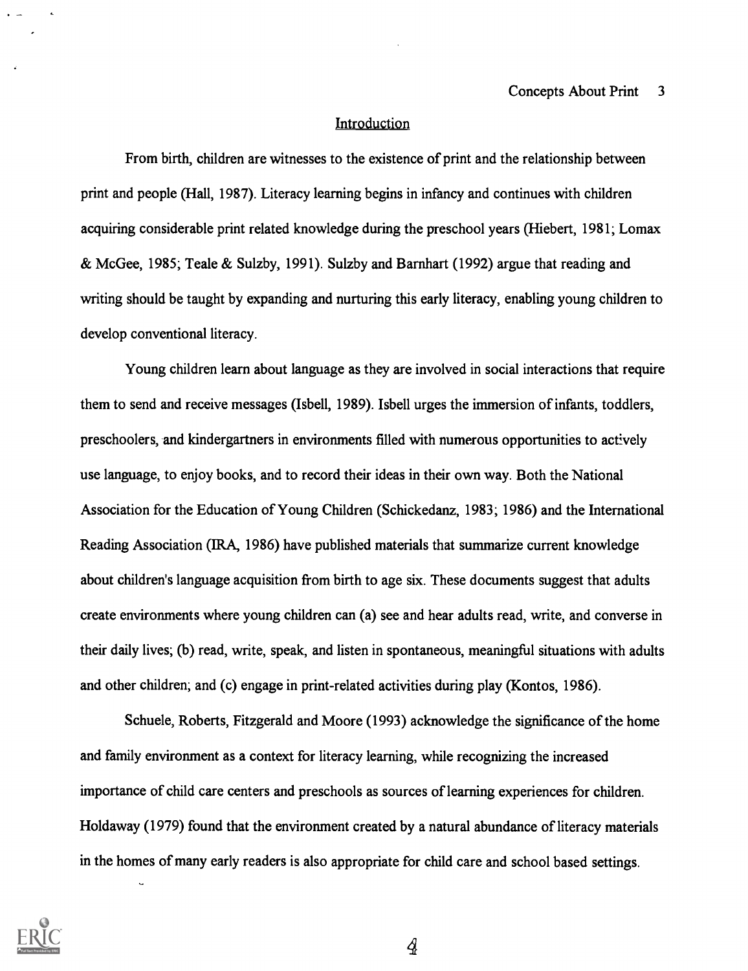#### **Introduction**

From birth, children are witnesses to the existence of print and the relationship between print and people (Hall, 1987). Literacy learning begins in infancy and continues with children acquiring considerable print related knowledge during the preschool years (Hiebert, 1981; Lomax & McGee, 1985; Teale & Sulzby, 1991). Sulzby and Barnhart (1992) argue that reading and writing should be taught by expanding and nurturing this early literacy, enabling young children to develop conventional literacy.

Young children learn about language as they are involved in social interactions that require them to send and receive messages (Isbell, 1989). Isbell urges the immersion of infants, toddlers, preschoolers, and kindergartners in environments filled with numerous opportunities to actively use language, to enjoy books, and to record their ideas in their own way. Both the National Association for the Education of Young Children (Schickedanz, 1983; 1986) and the International Reading Association (IRA, 1986) have published materials that summarize current knowledge about children's language acquisition from birth to age six. These documents suggest that adults create environments where young children can (a) see and hear adults read, write, and converse in their daily lives; (b) read, write, speak, and listen in spontaneous, meaningful situations with adults and other children; and (c) engage in print-related activities during play (Kontos, 1986).

Schuele, Roberts, Fitzgerald and Moore (1993) acknowledge the significance of the home and family environment as a context for literacy learning, while recognizing the increased importance of child care centers and preschools as sources of learning experiences for children. Holdaway (1979) found that the environment created by a natural abundance of literacy materials in the homes of many early readers is also appropriate for child care and school based settings.



 $\overline{A}$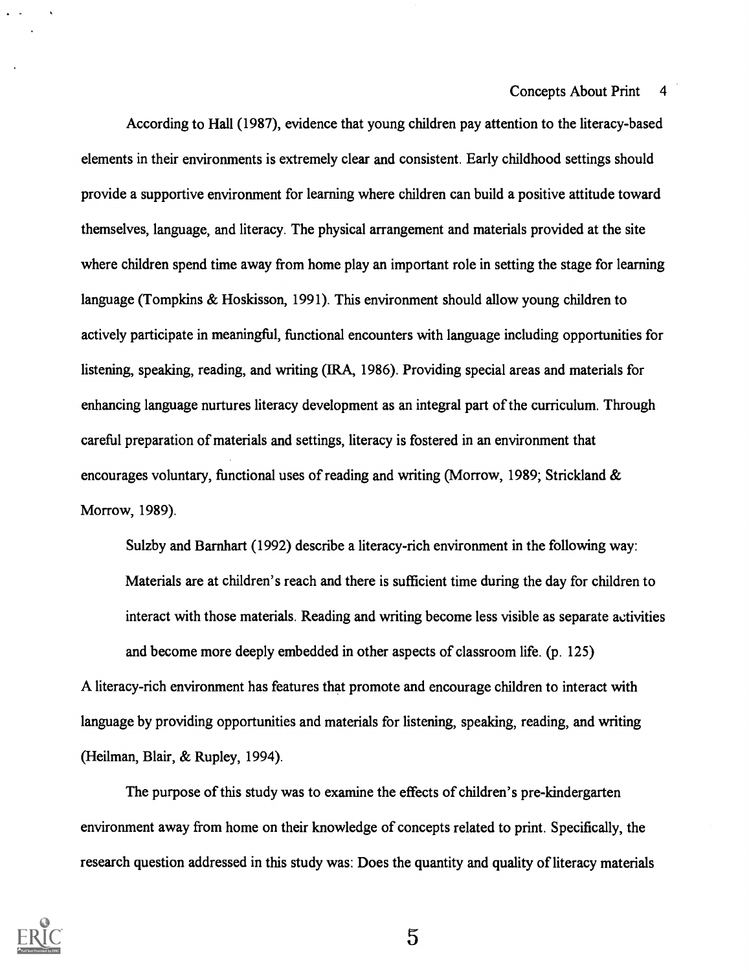According to Hall (1987), evidence that young children pay attention to the literacy-based elements in their environments is extremely clear and consistent. Early childhood settings should provide a supportive environment for learning where children can build a positive attitude toward themselves, language, and literacy. The physical arrangement and materials provided at the site where children spend time away from home play an important role in setting the stage for learning language (Tompkins & Hoskisson, 1991). This environment should allow young children to actively participate in meaningful, functional encounters with language including opportunities for listening, speaking, reading, and writing (IRA, 1986). Providing special areas and materials for enhancing language nurtures literacy development as an integral part of the curriculum. Through careful preparation of materials and settings, literacy is fostered in an environment that encourages voluntary, functional uses of reading and writing (Morrow, 1989; Strickland & Morrow, 1989).

Sulzby and Barnhart (1992) describe a literacy-rich environment in the following way: Materials are at children's reach and there is sufficient time during the day for children to interact with those materials. Reading and writing become less visible as separate activities and become more deeply embedded in other aspects of classroom life. (p. 125) A literacy-rich environment has features that promote and encourage children to interact with language by providing opportunities and materials for listening, speaking, reading, and writing (Heilman, Blair, & Rupley, 1994).

The purpose of this study was to examine the effects of children's pre-kindergarten environment away from home on their knowledge of concepts related to print. Specifically, the research question addressed in this study was: Does the quantity and quality of literacy materials



 $\overline{5}$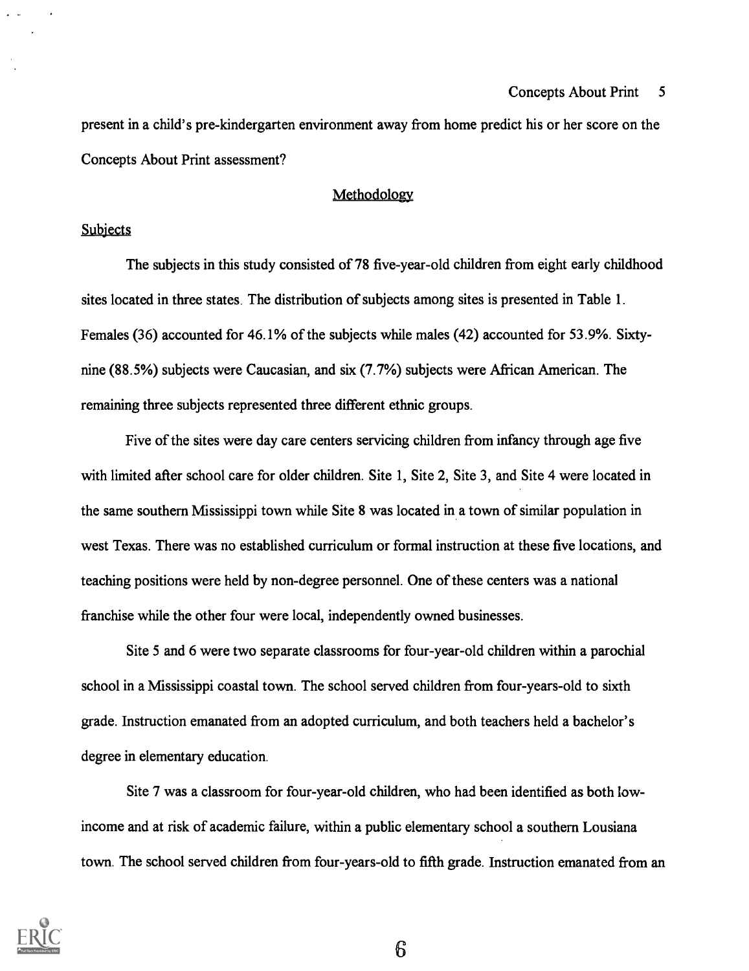#### Concepts About Print 5

present in a child's pre-kindergarten environment away from home predict his or her score on the Concepts About Print assessment?

#### Methodology

### **Subjects**

The subjects in this study consisted of 78 five-year-old children from eight early childhood sites located in three states. The distribution of subjects among sites is presented in Table 1. Females (36) accounted for 46.1% of the subjects while males (42) accounted for 53.9%. Sixtynine (88.5%) subjects were Caucasian, and six (7.7%) subjects were African American. The remaining three subjects represented three different ethnic groups.

Five of the sites were day care centers servicing children from infancy through age five with limited after school care for older children. Site 1, Site 2, Site 3, and Site 4 were located in the same southern Mississippi town while Site 8 was located in a town of similar population in west Texas. There was no established curriculum or formal instruction at these five locations, and teaching positions were held by non-degree personnel. One of these centers was a national franchise while the other four were local, independently owned businesses.

Site 5 and 6 were two separate classrooms for four-year-old children within a parochial school in a Mississippi coastal town. The school served children from four-years-old to sixth grade. Instruction emanated from an adopted curriculum, and both teachers held a bachelor's degree in elementary education.

Site 7 was a classroom for four-year-old children, who had been identified as both lowincome and at risk of academic failure, within a public elementary school a southern Lousiana town. The school served children from four-years-old to fifth grade. Instruction emanated from an

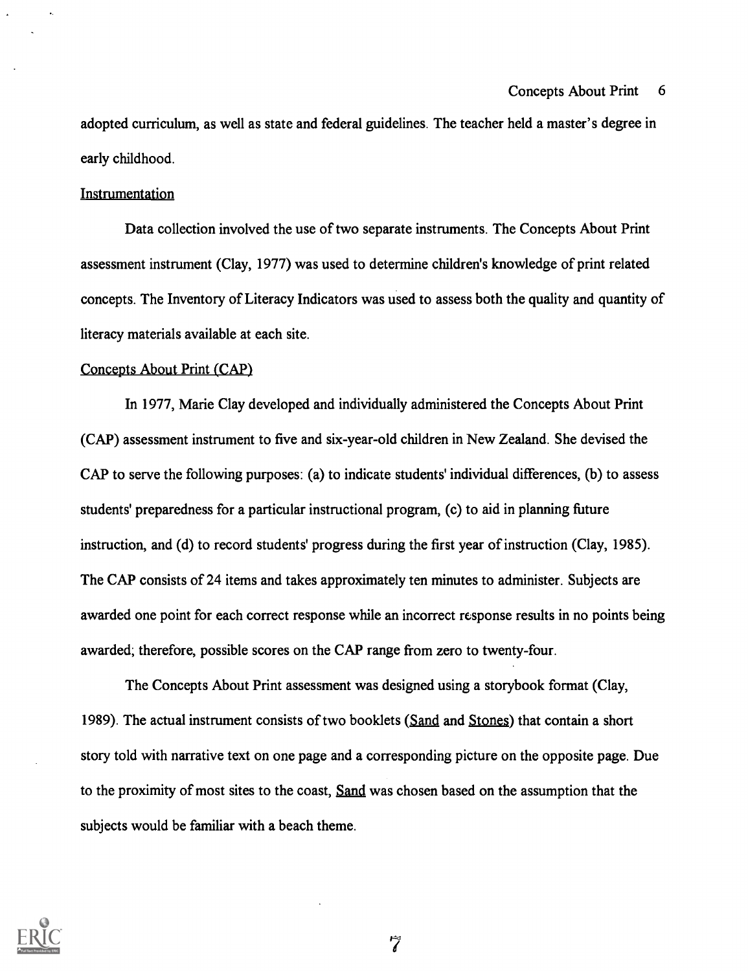#### Concepts About Print 6

adopted curriculum, as well as state and federal guidelines. The teacher held a master's degree in early childhood.

#### Instrumentation

Data collection involved the use of two separate instruments. The Concepts About Print assessment instrument (Clay, 1977) was used to determine children's knowledge of print related concepts. The Inventory of Literacy Indicators was used to assess both the quality and quantity of literacy materials available at each site.

#### Concepts About Print (CAP)

In 1977, Marie Clay developed and individually administered the Concepts About Print (CAP) assessment instrument to five and six-year-old children in New Zealand. She devised the CAP to serve the following purposes: (a) to indicate students' individual differences, (b) to assess students' preparedness for a particular instructional program, (c) to aid in planning future instruction, and (d) to record students' progress during the first year of instruction (Clay, 1985). The CAP consists of 24 items and takes approximately ten minutes to administer. Subjects are awarded one point for each correct response while an incorrect response results in no points being awarded; therefore, possible scores on the CAP range from zero to twenty-four.

The Concepts About Print assessment was designed using a storybook format (Clay, 1989). The actual instrument consists of two booklets (Sand and Stones) that contain a short story told with narrative text on one page and a corresponding picture on the opposite page. Due to the proximity of most sites to the coast, Sand was chosen based on the assumption that the subjects would be familiar with a beach theme.

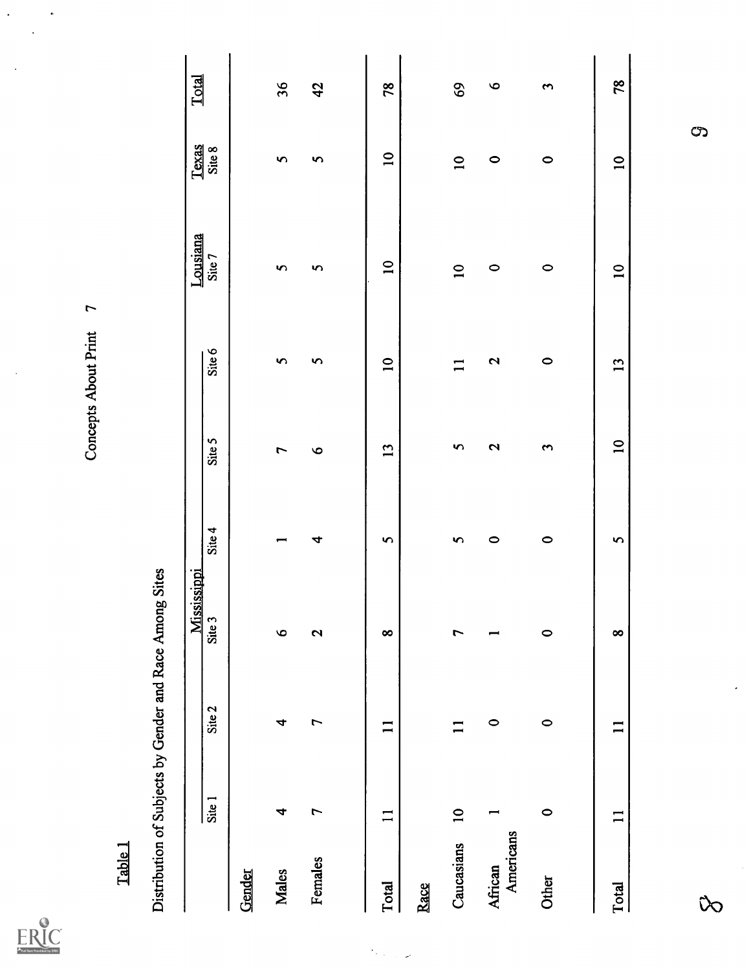ERIC

Concepts About Print 7

 $\ddot{\cdot}$ 

 $\ddot{\phantom{0}}$ 

 $\ddot{\phantom{1}}$ 

# Table<sub>1</sub>

|                      |                            |                          | Mississippi       |           |                    |                 | Lousiana                 | Texas           | <b>Total</b>   |
|----------------------|----------------------------|--------------------------|-------------------|-----------|--------------------|-----------------|--------------------------|-----------------|----------------|
|                      | $\overline{\text{Site}}$ 1 | Site 2                   | Site 3            | Site 4    | Site 5             | Site 6          | Site 7                   | Site 8          |                |
| Gender               |                            |                          |                   |           |                    |                 |                          |                 |                |
| <b>Males</b>         | 4                          | 4                        | $\bullet$         |           | 7                  | 5               | S                        | S               | 36             |
| Females              | $\overline{ }$             | L                        | $\mathbf{\Omega}$ | 4         | $\bullet$          | S               | 5                        | n               | $\frac{42}{5}$ |
|                      |                            |                          |                   |           |                    |                 |                          |                 |                |
| Total                | $\Box$                     | $\mathbf{1}$             | $\infty$          | $\bullet$ | 13                 | $\overline{10}$ | $\overline{10}$          | $\overline{10}$ | 78             |
| Race                 |                            |                          |                   |           |                    |                 |                          |                 |                |
| Caucasians           | $\overline{\phantom{0}}$   | $\mathbf{I}$             | $\overline{ }$    | 5         | S                  |                 | $\overline{\phantom{0}}$ | $\overline{10}$ | 69             |
| Americans<br>African |                            | $\circ$                  |                   | $\circ$   | 2                  | 2               | $\circ$                  | $\circ$         | $\circ$        |
| Other                | $\circ$                    | $\circ$                  | $\circ$           | $\circ$   | $\mathbf{\hat{z}}$ | $\circ$         | $\circ$                  | $\circ$         | 3              |
|                      |                            |                          |                   |           |                    |                 |                          |                 |                |
| <b>Total</b>         | $\overline{\phantom{0}}$   | $\overline{\phantom{0}}$ | $\infty$          | $\bullet$ | $\overline{10}$    | 13              | $\overline{\phantom{0}}$ | $\overline{10}$ | 78             |
|                      |                            |                          |                   |           |                    |                 |                          |                 |                |
| Ĉ                    |                            |                          |                   |           |                    |                 |                          | $\mathcal{O}$   |                |

 $\frac{1}{2} \sum_{i=1}^{n} \frac{1}{2} \sum_{j=1}^{n} \frac{1}{2} \sum_{j=1}^{n} \frac{1}{2} \sum_{j=1}^{n} \frac{1}{2} \sum_{j=1}^{n} \frac{1}{2} \sum_{j=1}^{n} \frac{1}{2} \sum_{j=1}^{n} \frac{1}{2} \sum_{j=1}^{n} \frac{1}{2} \sum_{j=1}^{n} \frac{1}{2} \sum_{j=1}^{n} \frac{1}{2} \sum_{j=1}^{n} \frac{1}{2} \sum_{j=1}^{n} \frac{1}{2} \sum_{j=1}^{n$ 

 $\overline{\phantom{a}}$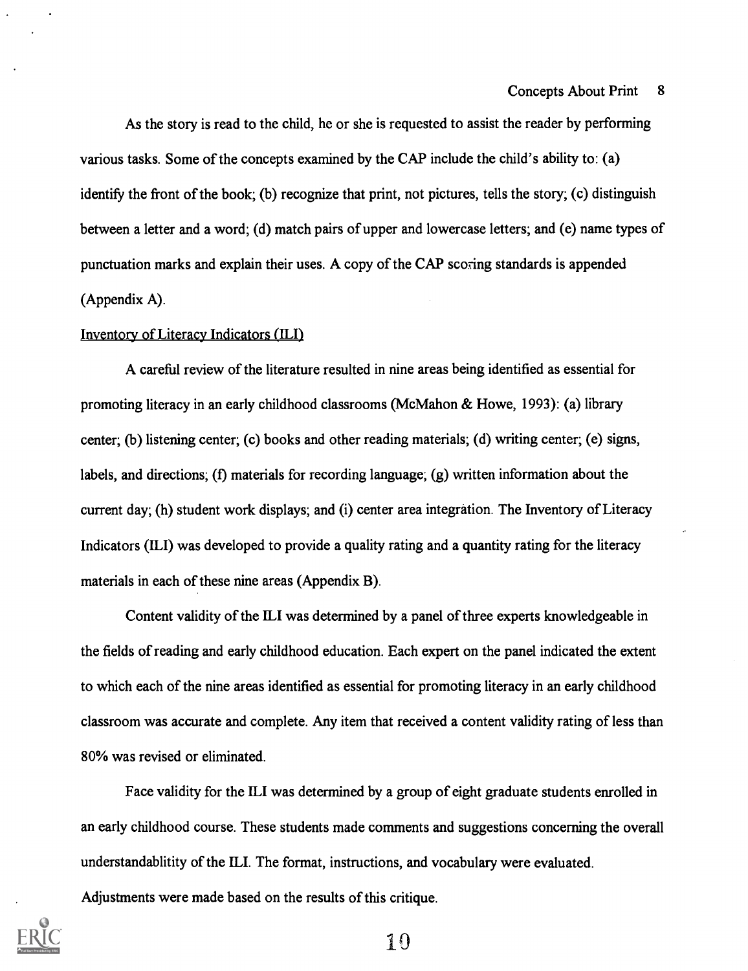As the story is read to the child, he or she is requested to assist the reader by performing various tasks. Some of the concepts examined by the CAP include the child's ability to: (a) identify the front of the book; (b) recognize that print, not pictures, tells the story; (c) distinguish between a letter and a word; (d) match pairs of upper and lowercase letters; and (e) name types of punctuation marks and explain their uses. A copy of the CAP scoring standards is appended (Appendix A).

#### Inventory of Literacy Indicators (ILI)

A careful review of the literature resulted in nine areas being identified as essential for promoting literacy in an early childhood classrooms (McMahon & Howe, 1993): (a) library center; (b) listening center; (c) books and other reading materials; (d) writing center; (e) signs, labels, and directions; (f) materials for recording language; (g) written information about the current day; (h) student work displays; and (i) center area integration. The Inventory of Literacy Indicators (ILI) was developed to provide a quality rating and a quantity rating for the literacy materials in each of these nine areas (Appendix B).

Content validity of the ILI was determined by a panel of three experts knowledgeable in the fields of reading and early childhood education. Each expert on the panel indicated the extent to which each of the nine areas identified as essential for promoting literacy in an early childhood classroom was accurate and complete. Any item that received a content validity rating of less than 80% was revised or eliminated.

Face validity for the ILI was determined by a group of eight graduate students enrolled in an early childhood course. These students made comments and suggestions concerning the overall understandablitity of the ILI. The format, instructions, and vocabulary were evaluated.

Adjustments were made based on the results of this critique.

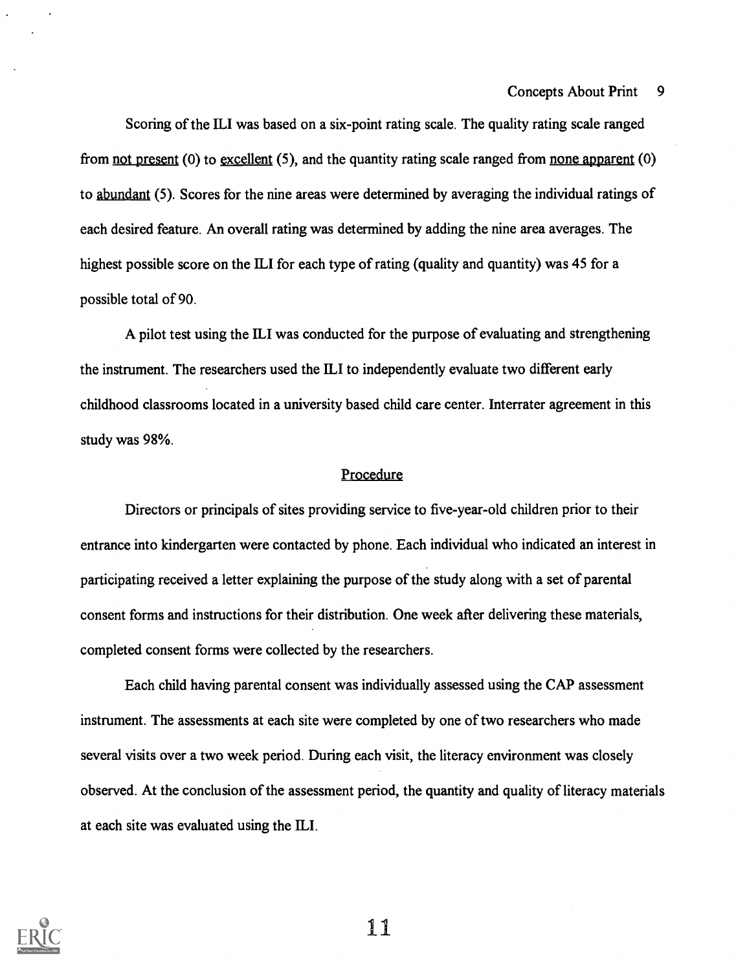#### Concepts About Print 9

Scoring of the ILI was based on a six-point rating scale. The quality rating scale ranged from not present (0) to excellent (5), and the quantity rating scale ranged from none apparent (0) to abundant (5). Scores for the nine areas were determined by averaging the individual ratings of each desired feature. An overall rating was determined by adding the nine area averages. The highest possible score on the ILI for each type of rating (quality and quantity) was 45 for a possible total of 90.

A pilot test using the ILI was conducted for the purpose of evaluating and strengthening the instrument. The researchers used the ILI to independently evaluate two different early childhood classrooms located in a university based child care center. Interrater agreement in this study was 98%.

#### Procedure

Directors or principals of sites providing service to five-year-old children prior to their entrance into kindergarten were contacted by phone. Each individual who indicated an interest in participating received a letter explaining the purpose of the study along with a set of parental consent forms and instructions for their distribution. One week after delivering these materials, completed consent forms were collected by the researchers.

Each child having parental consent was individually assessed using the CAP assessment instrument. The assessments at each site were completed by one of two researchers who made several visits over a two week period. During each visit, the literacy environment was closely observed. At the conclusion of the assessment period, the quantity and quality of literacy materials at each site was evaluated using the ILI.

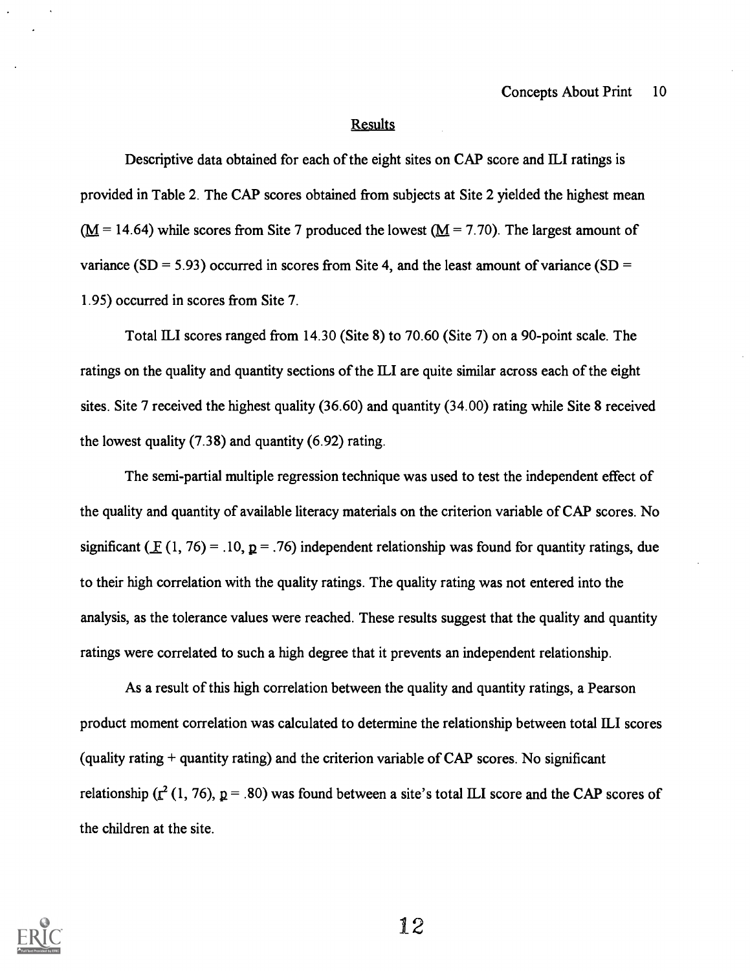#### **Results**

Descriptive data obtained for each of the eight sites on CAP score and ILI ratings is provided in Table 2. The CAP scores obtained from subjects at Site 2 yielded the highest mean  $(M = 14.64)$  while scores from Site 7 produced the lowest  $(M = 7.70)$ . The largest amount of variance (SD = 5.93) occurred in scores from Site 4, and the least amount of variance (SD = 1.95) occurred in scores from Site 7.

Total ILI scores ranged from 14.30 (Site 8) to 70.60 (Site 7) on a 90-point scale. The ratings on the quality and quantity sections of the ILI are quite similar across each of the eight sites. Site 7 received the highest quality (36.60) and quantity (34.00) rating while Site 8 received the lowest quality (7.38) and quantity (6.92) rating.

The semi-partial multiple regression technique was used to test the independent effect of the quality and quantity of available literacy materials on the criterion variable of CAP scores. No significant ( $\mathbf{F}(1, 76) = .10, \mathbf{p} = .76$ ) independent relationship was found for quantity ratings, due to their high correlation with the quality ratings. The quality rating was not entered into the analysis, as the tolerance values were reached. These results suggest that the quality and quantity ratings were correlated to such a high degree that it prevents an independent relationship.

As a result of this high correlation between the quality and quantity ratings, a Pearson product moment correlation was calculated to determine the relationship between total ILI scores (quality rating  $+$  quantity rating) and the criterion variable of CAP scores. No significant relationship ( $\mathbf{r}^2$  (1, 76),  $\mathbf{p} = .80$ ) was found between a site's total ILI score and the CAP scores of the children at the site.

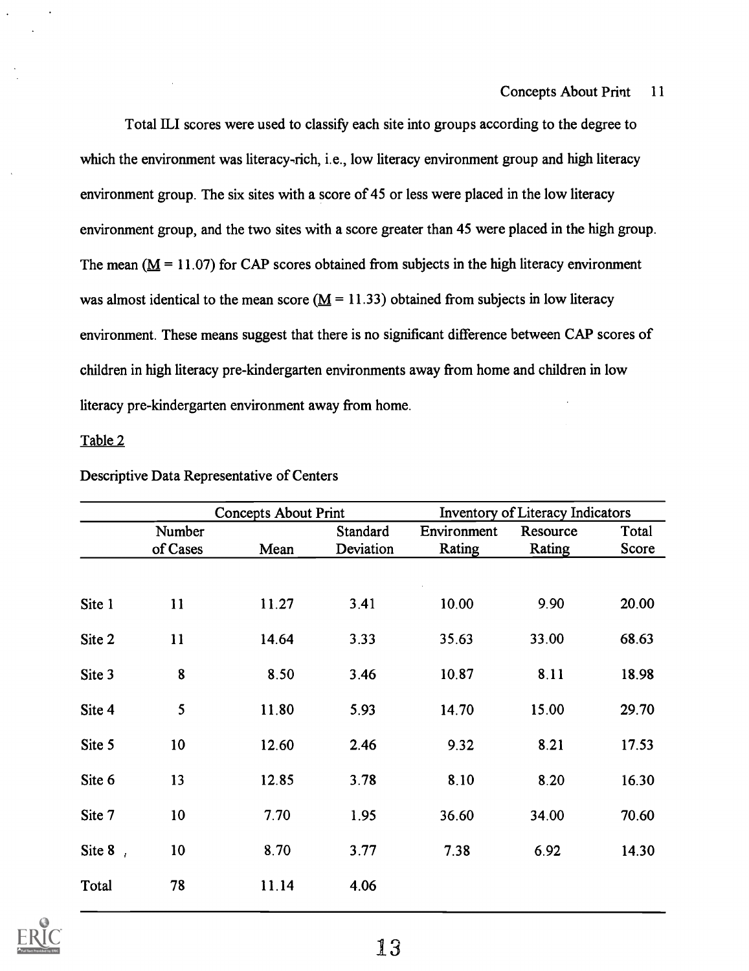Total ILI scores were used to classify each site into groups according to the degree to which the environment was literacy-rich, i.e., low literacy environment group and high literacy environment group. The six sites with a score of 45 or less were placed in the low literacy environment group, and the two sites with a score greater than 45 were placed in the high group. The mean ( $M = 11.07$ ) for CAP scores obtained from subjects in the high literacy environment was almost identical to the mean score ( $\underline{M} = 11.33$ ) obtained from subjects in low literacy environment. These means suggest that there is no significant difference between CAP scores of children in high literacy pre-kindergarten environments away from home and children in low literacy pre-kindergarten environment away from home.

### Table 2

|            |                 | <b>Concepts About Print</b> |           |             | Inventory of Literacy Indicators |       |
|------------|-----------------|-----------------------------|-----------|-------------|----------------------------------|-------|
|            | Number          |                             | Standard  | Environment | Resource                         | Total |
|            | of Cases        | Mean                        | Deviation | Rating      | Rating                           | Score |
|            |                 |                             |           |             |                                  |       |
| Site 1     | 11              | 11.27                       | 3.41      | 10.00       | 9.90                             | 20.00 |
| Site 2     | 11              | 14.64                       | 3.33      | 35.63       | 33.00                            | 68.63 |
| Site 3     | 8               | 8.50                        | 3.46      | 10.87       | 8.11                             | 18.98 |
| Site 4     | 5               | 11.80                       | 5.93      | 14.70       | 15.00                            | 29.70 |
| Site 5     | 10 <sub>1</sub> | 12.60                       | 2.46      | 9.32        | 8.21                             | 17.53 |
| Site 6     | 13              | 12.85                       | 3.78      | 8.10        | 8.20                             | 16.30 |
| Site 7     | 10              | 7.70                        | 1.95      | 36.60       | 34.00                            | 70.60 |
| Site $8$ , | 10              | 8.70                        | 3.77      | 7.38        | 6.92                             | 14.30 |
| Total      | 78              | 11.14                       | 4.06      |             |                                  |       |

Descriptive Data Representative of Centers

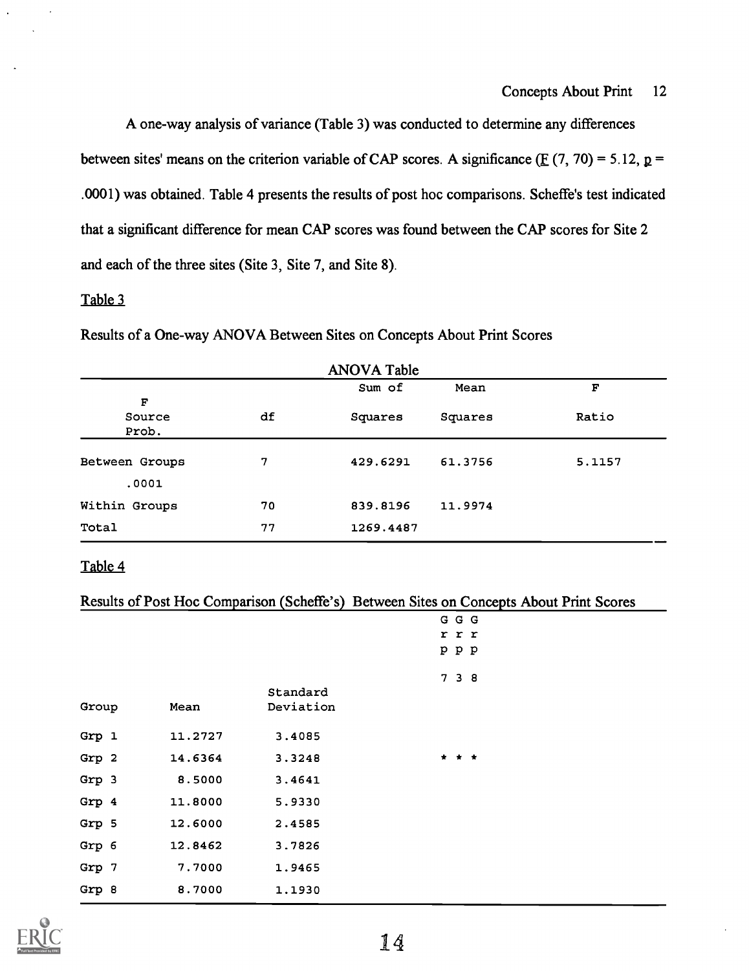A one-way analysis of variance (Table 3) was conducted to determine any differences between sites' means on the criterion variable of CAP scores. A significance ( $E(7, 70) = 5.12, p =$ .0001) was obtained. Table 4 presents the results of post hoc comparisons. Scheffe's test indicated that a significant difference for mean CAP scores was found between the CAP scores for Site 2 and each of the three sites (Site 3, Site 7, and Site 8).

## Table 3

| Results of a One-way ANOVA Between Sites on Concepts About Print Scores |  |
|-------------------------------------------------------------------------|--|
|-------------------------------------------------------------------------|--|

|                      |    | <b>ANOVA Table</b> |         |        |
|----------------------|----|--------------------|---------|--------|
|                      |    | Sum of             | Mean    | F      |
| F<br>Source<br>Prob. | df | Squares            | Squares | Ratio  |
| Between Groups       | 7  | 429.6291           | 61.3756 | 5.1157 |
| .0001                |    |                    |         |        |
| Within Groups        | 70 | 839.8196           | 11.9974 |        |
| Total                | 77 | 1269.4487          |         |        |

## Table 4

|  | Results of Post Hoc Comparison (Scheffe's) Between Sites on Concepts About Print Scores |
|--|-----------------------------------------------------------------------------------------|
|--|-----------------------------------------------------------------------------------------|

|       |         |           | GGG   |
|-------|---------|-----------|-------|
|       |         |           | r r r |
|       |         |           | ррр   |
|       |         |           | 7 3 8 |
|       |         | Standard  |       |
| Group | Mean    | Deviation |       |
| Grp 1 | 11.2727 | 3.4085    |       |
|       |         |           |       |
| Grp 2 | 14.6364 | 3.3248    | * * * |
| Grp 3 | 8.5000  | 3.4641    |       |
| Grp 4 | 11.8000 | 5.9330    |       |
| Grp 5 | 12.6000 | 2.4585    |       |
| Grp 6 | 12.8462 | 3.7826    |       |
| Grp 7 | 7.7000  | 1.9465    |       |
| Grp 8 | 8.7000  | 1.1930    |       |

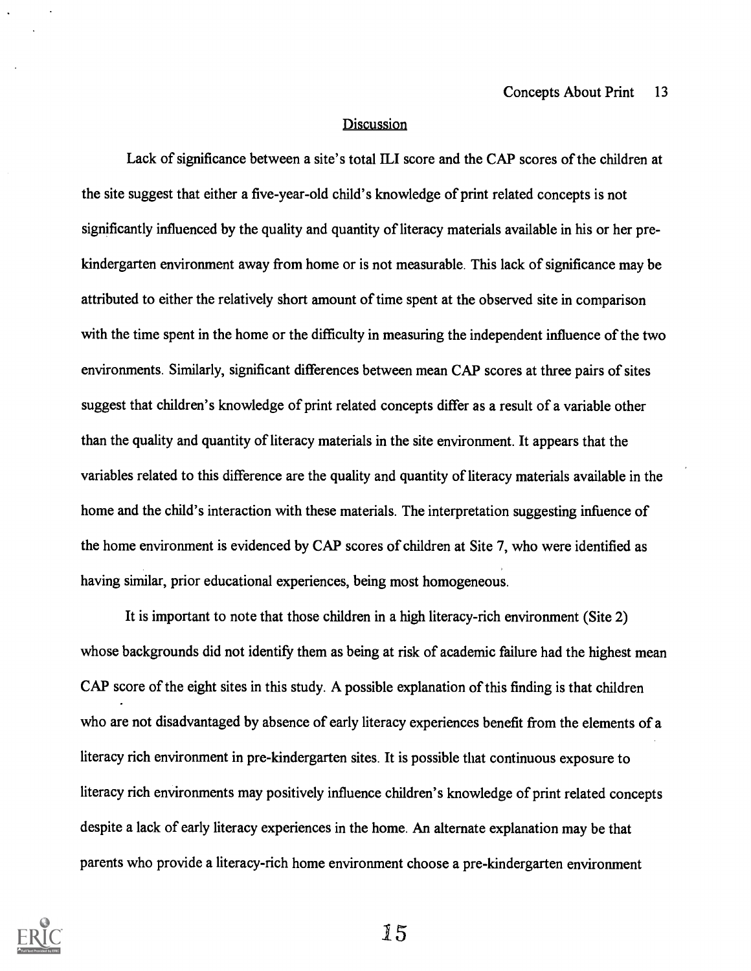#### **Discussion**

Lack of significance between a site's total ILI score and the CAP scores of the children at the site suggest that either a five-year-old child's knowledge of print related concepts is not significantly influenced by the quality and quantity of literacy materials available in his or her prekindergarten environment away from home or is not measurable. This lack of significance may be attributed to either the relatively short amount of time spent at the observed site in comparison with the time spent in the home or the difficulty in measuring the independent influence of the two environments. Similarly, significant differences between mean CAP scores at three pairs of sites suggest that children's knowledge of print related concepts differ as a result of a variable other than the quality and quantity of literacy materials in the site environment. It appears that the variables related to this difference are the quality and quantity of literacy materials available in the home and the child's interaction with these materials. The interpretation suggesting infuence of the home environment is evidenced by CAP scores of children at Site 7, who were identified as having similar, prior educational experiences, being most homogeneous.

It is important to note that those children in a high literacy-rich environment (Site 2) whose backgrounds did not identify them as being at risk of academic failure had the highest mean CAP score of the eight sites in this study. A possible explanation of this finding is that children who are not disadvantaged by absence of early literacy experiences benefit from the elements of a literacy rich environment in pre-kindergarten sites. It is possible that continuous exposure to literacy rich environments may positively influence children's knowledge of print related concepts despite a lack of early literacy experiences in the home. An alternate explanation may be that parents who provide a literacy-rich home environment choose a pre-kindergarten environment

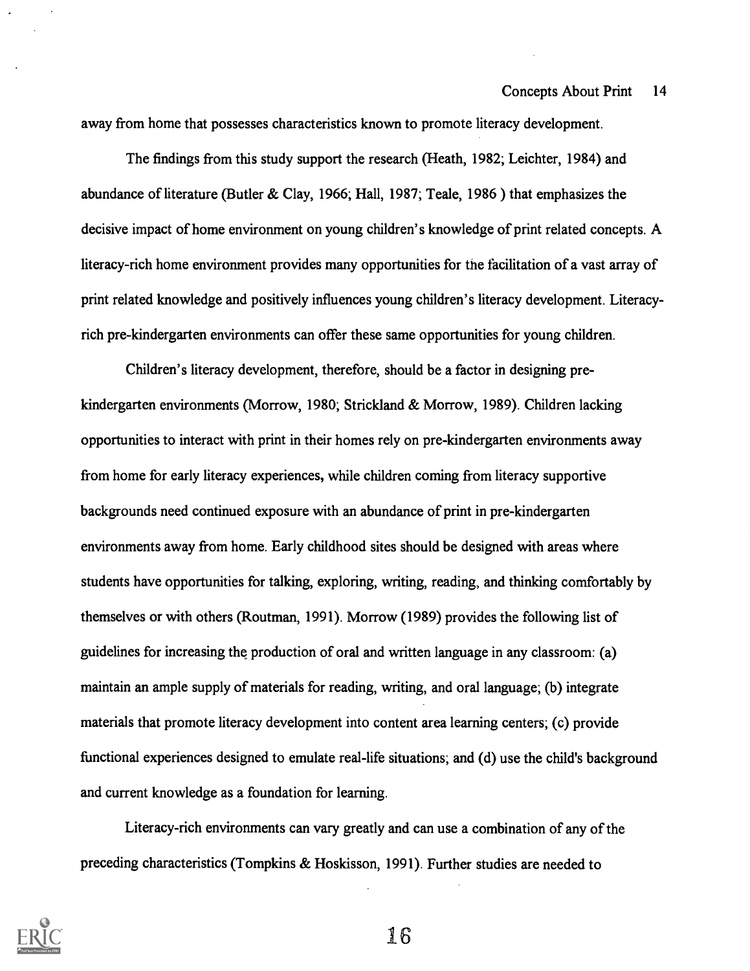away from home that possesses characteristics known to promote literacy development.

The findings from this study support the research (Heath, 1982; Leichter, 1984) and abundance of literature (Butler & Clay, 1966; Hall, 1987; Teale, 1986 ) that emphasizes the decisive impact of home environment on young children's knowledge of print related concepts. A literacy-rich home environment provides many opportunities for the facilitation of a vast array of print related knowledge and positively influences young children's literacy development. Literacyrich pre-kindergarten environments can offer these same opportunities for young children.

Children's literacy development, therefore, should be a factor in designing prekindergarten environments (Morrow, 1980; Strickland & Morrow, 1989). Children lacking opportunities to interact with print in their homes rely on pre-kindergarten environments away from home for early literacy experiences, while children coming from literacy supportive backgrounds need continued exposure with an abundance of print in pre-kindergarten environments away from home. Early childhood sites should be designed with areas where students have opportunities for talking, exploring, writing, reading, and thinking comfortably by themselves or with others (Routman, 1991). Morrow (1989) provides the following list of guidelines for increasing the production of oral and written language in any classroom: (a) maintain an ample supply of materials for reading, writing, and oral language; (b) integrate materials that promote literacy development into content area learning centers; (c) provide functional experiences designed to emulate real-life situations; and (d) use the child's background and current knowledge as a foundation for learning.

Literacy-rich environments can vary greatly and can use a combination of any of the preceding characteristics (Tompkins & Hoskisson, 1991). Further studies are needed to

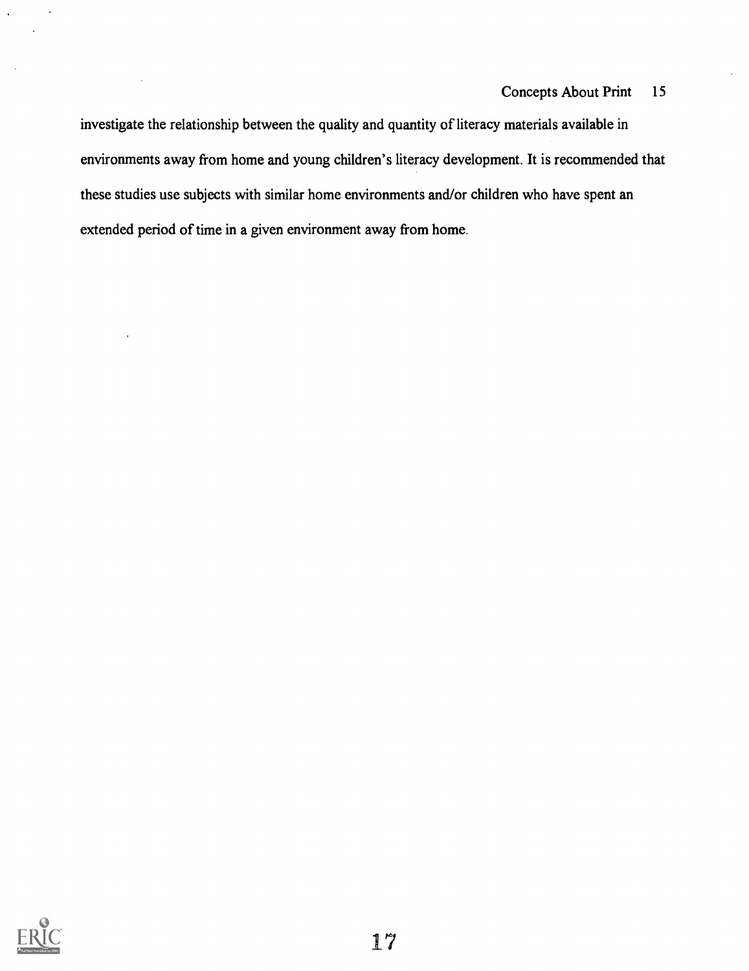## Concepts About Print 15

investigate the relationship between the quality and quantity of literacy materials available in environments away from home and young children's literacy development. It is recommended that these studies use subjects with similar home environments and/or children who have spent an extended period of time in a given environment away from home.

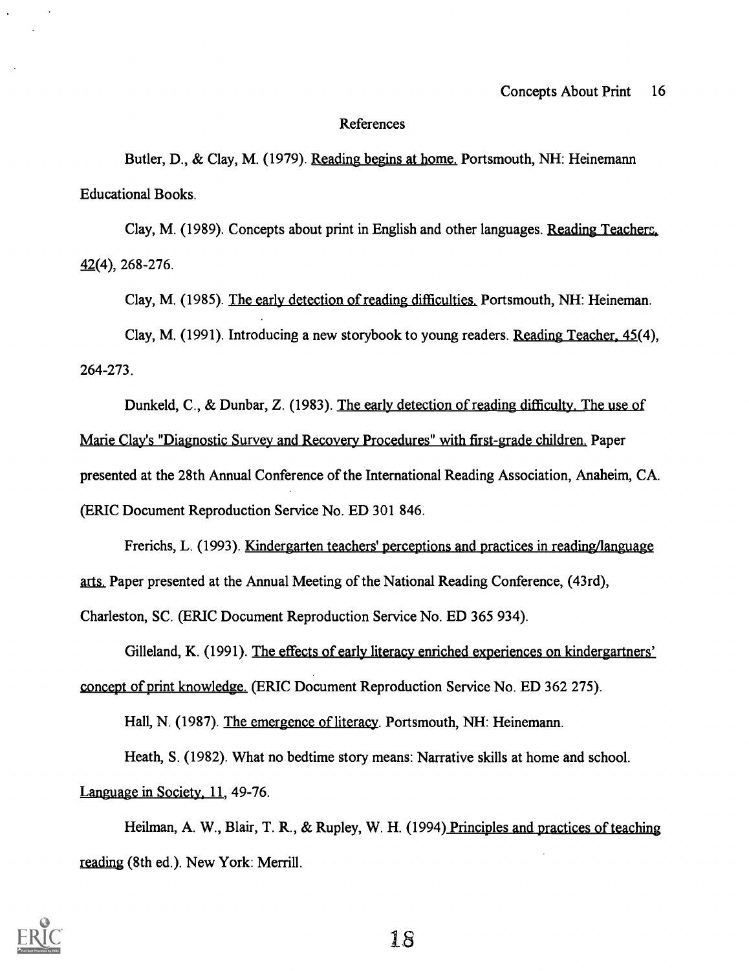#### References

Butler, D., & Clay, M. (1979). Reading begins at home. Portsmouth, NH: Heinemann Educational Books.

Clay, M. (1989). Concepts about print in English and other languages. Reading Teachers, 42(4), 268-276.

Clay, M. (1985). The early detection of reading difficulties. Portsmouth, NH: Heineman.

Clay, M. (1991). Introducing a new storybook to young readers. Reading Teacher, 45(4), 264-273.

Dunkeld, C., & Dunbar, Z. (1983). The early detection of reading difficulty. The use of Marie Clav's "Diagnostic Survey and Recovery Procedures" with first-grade children. Paper presented at the 28th Annual Conference of the International Reading Association, Anaheim, CA. (ERIC Document Reproduction Service No. ED 301 846.

Frerichs, L. (1993). Kindergarten teachers' perceptions and practices in reading/language arts. Paper presented at the Annual Meeting of the National Reading Conference, (43rd),

Charleston, SC. (ERIC Document Reproduction Service No. ED 365 934).

Gilleland, K. (1991). The effects of early literacy enriched experiences on kindergartners' concept of print knowledge. (ERIC Document Reproduction Service No. ED 362 275).

Hall, N. (1987). The emergence of literacy. Portsmouth, NH: Heinemann.

Heath, S. (1982). What no bedtime story means: Narrative skills at home and school.

Language in Society, 11, 49-76.

Heilman, A. W., Blair, T. R., & Rupley, W. H. (1994) Principles and practices of teaching reading (8th ed.). New York: Merrill.

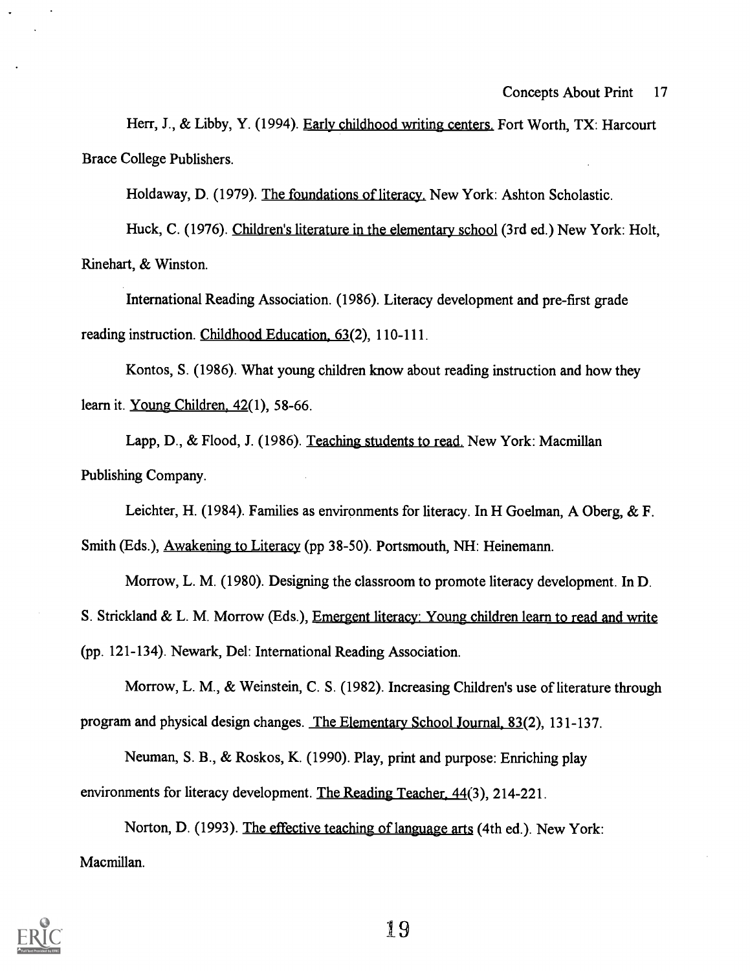Herr, J., & Libby, Y. (1994). Early childhood writing centers. Fort Worth, TX: Harcourt Brace College Publishers.

Holdaway, D. (1979). The foundations of literacy. New York: Ashton Scholastic.

Huck, C. (1976). Children's literature in the elementary school (3rd ed.) New York: Holt, Rinehart, & Winston.

International Reading Association. (1986). Literacy development and pre-first grade reading instruction. Childhood Education, 63(2), 110-111.

Kontos, S. (1986). What young children know about reading instruction and how they learn it. Young Children, 42(1), 58-66.

Lapp, D., & Flood, J. (1986). Teaching students to read. New York: Macmillan Publishing Company.

Leichter, H. (1984). Families as environments for literacy. In H Goelman, A Oberg, & F.

Smith (Eds.), Awakening to Literacy (pp 38-50). Portsmouth, NH: Heinemann.

Morrow, L. M. (1980). Designing the classroom to promote literacy development. In D.

S. Strickland & L. M. Morrow (Eds.), Emergent literacy: Young children learn to read and write

(pp. 121-134). Newark, Del: International Reading Association.

Morrow, L. M., & Weinstein, C. S. (1982). Increasing Children's use of literature through program and physical design changes. The Elementary School Journal, 83(2), 131-137.

Neuman, S. B., & Roskos, K. (1990). Play, print and purpose: Enriching play environments for literacy development. The Reading Teacher. 44(3), 214-221.

Norton, D. (1993). The effective teaching of language arts (4th ed.). New York: Macmillan.

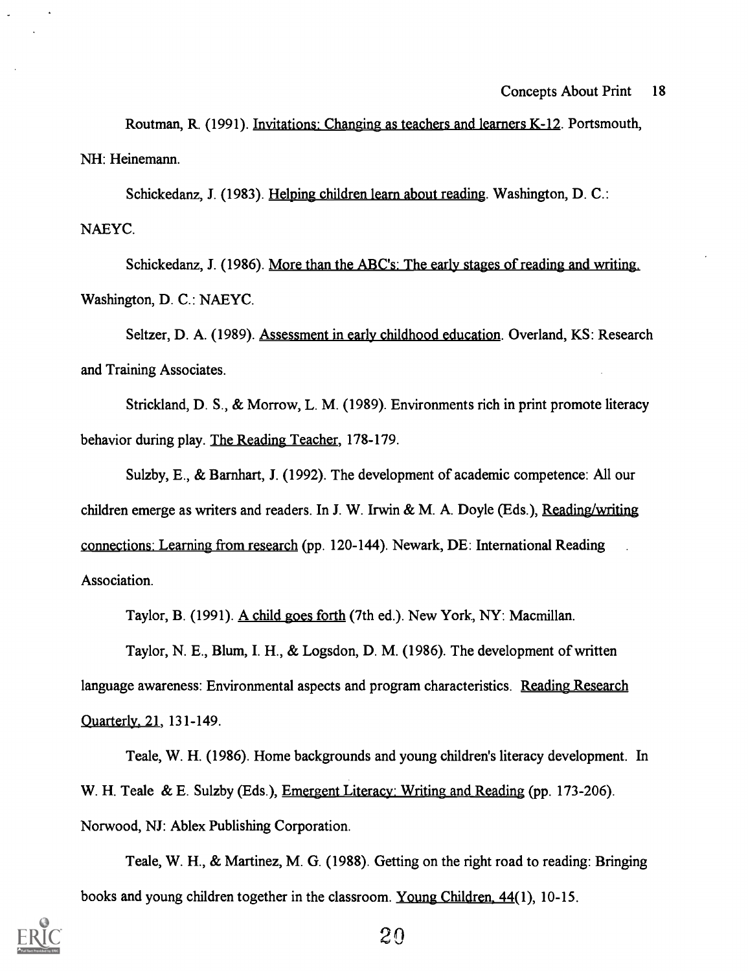Routman, R. (1991). Invitations: Changing as teachers and learners K-12. Portsmouth, NH: Heinemann.

Schickedanz, J. (1983). Helping children learn about reading. Washington, D. C.: NAEYC.

Schickedanz, J. (1986). More than the ABC's: The early stages of reading and writing. Washington, D. C.: NAEYC.

Seltzer, D. A. (1989). Assessment in early childhood education. Overland, KS: Research and Training Associates.

Strickland, D. S., & Morrow, L. M. (1989). Environments rich in print promote literacy behavior during play. The Reading Teacher, 178-179.

Sulzby, E., & Barnhart, J. (1992). The development of academic competence: All our children emerge as writers and readers. In J. W. Irwin & M. A. Doyle (Eds.), Reading/writing connections: Learning from research (pp. 120-144). Newark, DE: International Reading Association.

Taylor, B. (1991). A child goes forth (7th ed.). New York, NY: Macmillan.

Taylor, N. E., Blum, I. H., & Logsdon, D. M. (1986). The development of written language awareness: Environmental aspects and program characteristics. Reading Research Quarterly. 21, 131-149.

Teale, W. H. (1986). Home backgrounds and young children's literacy development. In W. H. Teale & E. Sulzby (Eds.), Emergent Literacy: Writing and Reading (pp. 173-206). Norwood, NJ: Ablex Publishing Corporation.

Teale, W. H., & Martinez, M. G. (1988). Getting on the right road to reading: Bringing books and young children together in the classroom. Young Children. 44(1), 10-15.

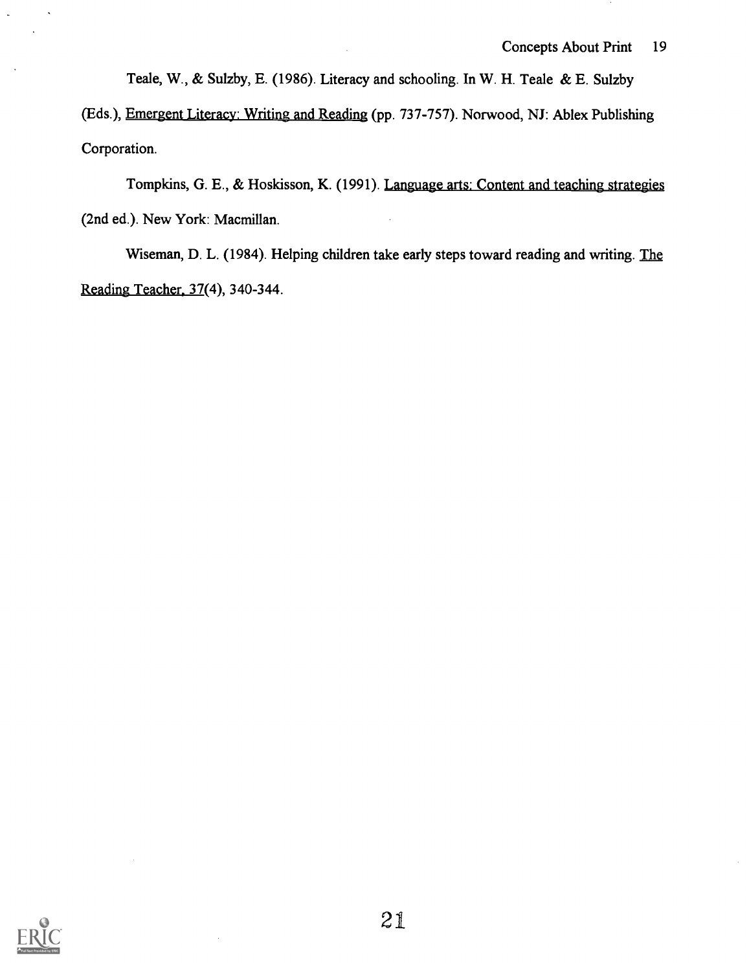Teale, W., & Sulzby, E. (1986). Literacy and schooling. In W. H. Teale & E. Sulzby

(Eds.), Emergent Literacy: Writing and Reading (pp. 737-757). Norwood, NJ: Ablex Publishing Corporation.

Tompkins, G. E., & Hoskisson, K. (1991). Language arts: Content and teaching strategies (2nd ed.). New York: Macmillan.

Wiseman, D. L. (1984). Helping children take early steps toward reading and writing. The Reading Teacher. 37(4), 340-344.

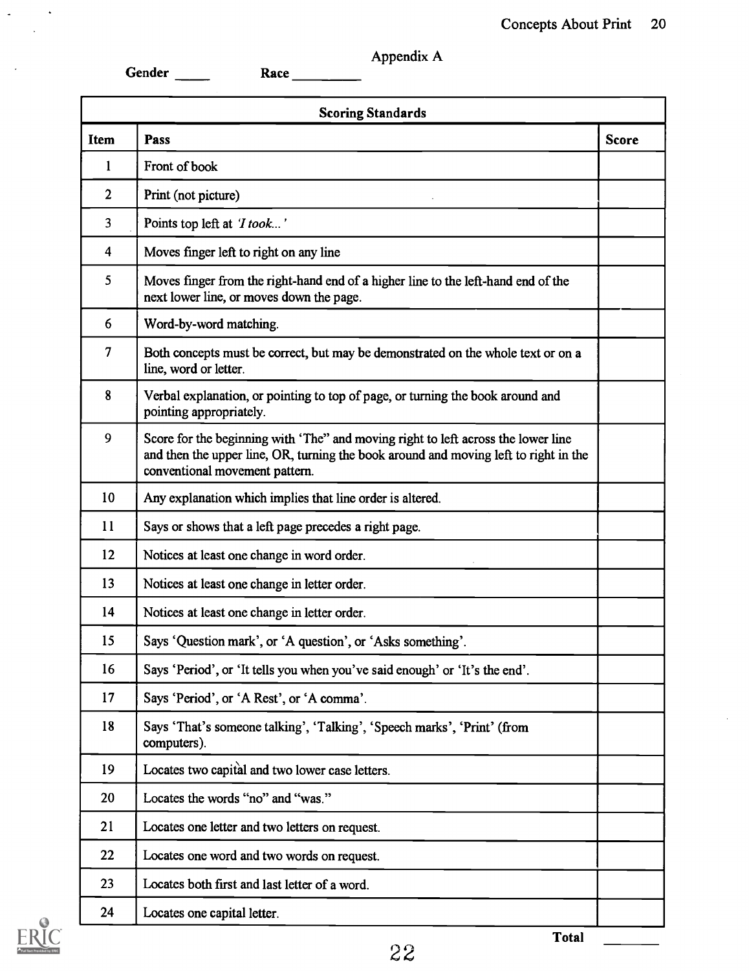Appendix A

|                         | <b>Scoring Standards</b>                                                                                                                                                                                    |              |
|-------------------------|-------------------------------------------------------------------------------------------------------------------------------------------------------------------------------------------------------------|--------------|
| <b>Item</b>             | Pass                                                                                                                                                                                                        | <b>Score</b> |
| 1                       | Front of book                                                                                                                                                                                               |              |
| $\overline{2}$          | Print (not picture)                                                                                                                                                                                         |              |
| 3                       | Points top left at 'I took'                                                                                                                                                                                 |              |
| $\overline{\mathbf{4}}$ | Moves finger left to right on any line                                                                                                                                                                      |              |
| 5                       | Moves finger from the right-hand end of a higher line to the left-hand end of the<br>next lower line, or moves down the page.                                                                               |              |
| 6                       | Word-by-word matching.                                                                                                                                                                                      |              |
| 7                       | Both concepts must be correct, but may be demonstrated on the whole text or on a<br>line, word or letter.                                                                                                   |              |
| 8                       | Verbal explanation, or pointing to top of page, or turning the book around and<br>pointing appropriately.                                                                                                   |              |
| 9                       | Score for the beginning with 'The" and moving right to left across the lower line<br>and then the upper line, OR, turning the book around and moving left to right in the<br>conventional movement pattern. |              |
| 10                      | Any explanation which implies that line order is altered.                                                                                                                                                   |              |
| 11                      | Says or shows that a left page precedes a right page.                                                                                                                                                       |              |
| 12                      | Notices at least one change in word order.                                                                                                                                                                  |              |
| 13                      | Notices at least one change in letter order.                                                                                                                                                                |              |
| 14                      | Notices at least one change in letter order.                                                                                                                                                                |              |
| 15                      | Says 'Question mark', or 'A question', or 'Asks something'.                                                                                                                                                 |              |
| 16                      | Says 'Period', or 'It tells you when you've said enough' or 'It's the end'.                                                                                                                                 |              |
| 17                      | Says 'Period', or 'A Rest', or 'A comma'.                                                                                                                                                                   |              |
| 18                      | Says 'That's someone talking', 'Talking', 'Speech marks', 'Print' (from<br>computers).                                                                                                                      |              |
| 19                      | Locates two capital and two lower case letters.                                                                                                                                                             |              |
| 20                      | Locates the words "no" and "was."                                                                                                                                                                           |              |
| 21                      | Locates one letter and two letters on request.                                                                                                                                                              |              |
| 22                      | Locates one word and two words on request.                                                                                                                                                                  |              |
| 23                      | Locates both first and last letter of a word.                                                                                                                                                               |              |
| 24                      | Locates one capital letter.                                                                                                                                                                                 |              |



 $\mathcal{L}^{\pm}$ 

 $\sim$   $\omega$ 

 $\langle \rangle$  $\sim$   $\sim$ 

 $\hat{\mathcal{F}}$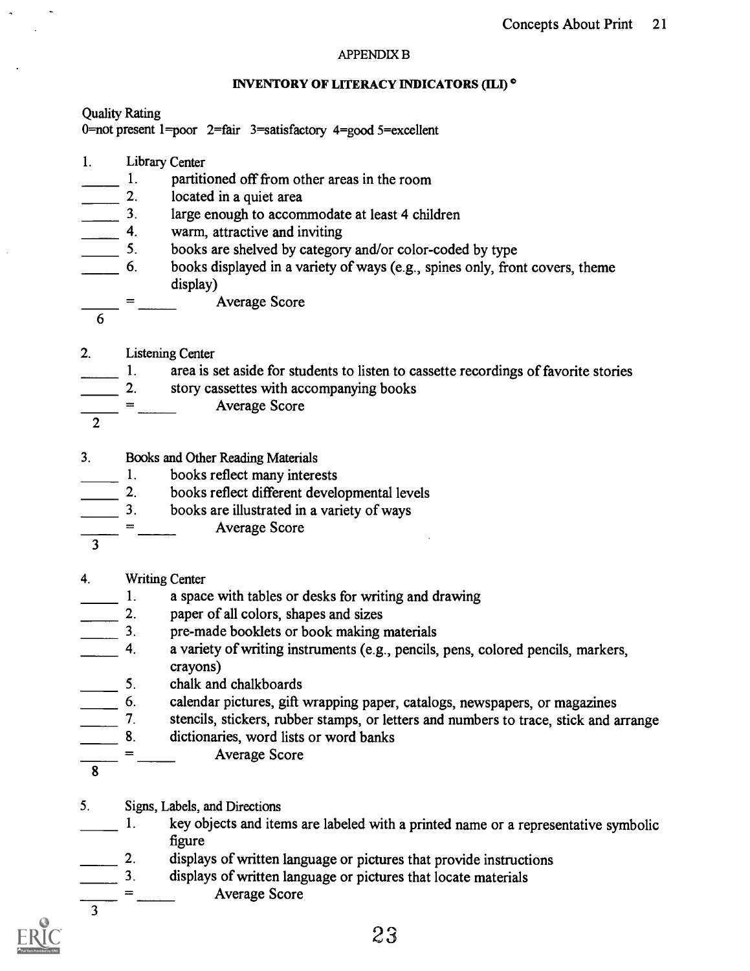#### APPENDIX B

#### INVENTORY OF LITERACY INDICATORS (ILI)<sup>°</sup>

Quality Rating 0=not present 1=poor 2=fair 3=satisfactory 4=good 5=excellent

- 1. Library Center
- $\frac{1}{2}$  partitioned off from other areas in the room<br>2. located in a quiet area
- 
- 2. located in a quiet area<br>3. large enough to accom 3. large enough to accommodate at least 4 children<br>4. warm, attractive and inviting
- 
- 4. warm, attractive and inviting<br>5. books are shelved by categor 5. books are shelved by category and/or color-coded by type
- 6. books displayed in a variety of ways (e.g., spines only, front covers, theme display)
- Average Score
- 6

- 2. Listening Center
- 1. area is set aside for students to listen to cassette recordings of favorite stories
- 2. story cassettes with accompanying books
- Average Score
- 2
- 3. Books and Other Reading Materials
- 1. books reflect many interests
- 2. books reflect different developmental levels
- 3. books are illustrated in a variety of ways
- Average Score
- 3
- 4. Writing Center
- 1. a space with tables or desks for writing and drawing<br>2. paper of all colors, shapes and sizes
- 
- 2. paper of all colors, shapes and sizes<br>2. pre-made booklets or book making pre-made booklets or book making materials
- 4. a variety of writing instruments (e.g., pencils, pens, colored pencils, markers, crayons)
- 5. chalk and chalkboards<br>6. calendar pictures, gift
- 

6. calendar pictures, gift wrapping paper, catalogs, newspapers, or magazines<br>7. stencils, stickers, rubber stamps, or letters and numbers to trace. stick and a stencils, stickers, rubber stamps, or letters and numbers to trace, stick and arrange

- 8. dictionaries, word lists or word banks
	- Average Score
- 8

- 5. Signs, Labels, and Directions
- 1. key objects and items are labeled with a printed name or a representative symbolic figure
- 2. displays of written language or pictures that provide instructions<br>3. displays of written language or pictures that locate materials
- displays of written language or pictures that locate materials
	- Average Score

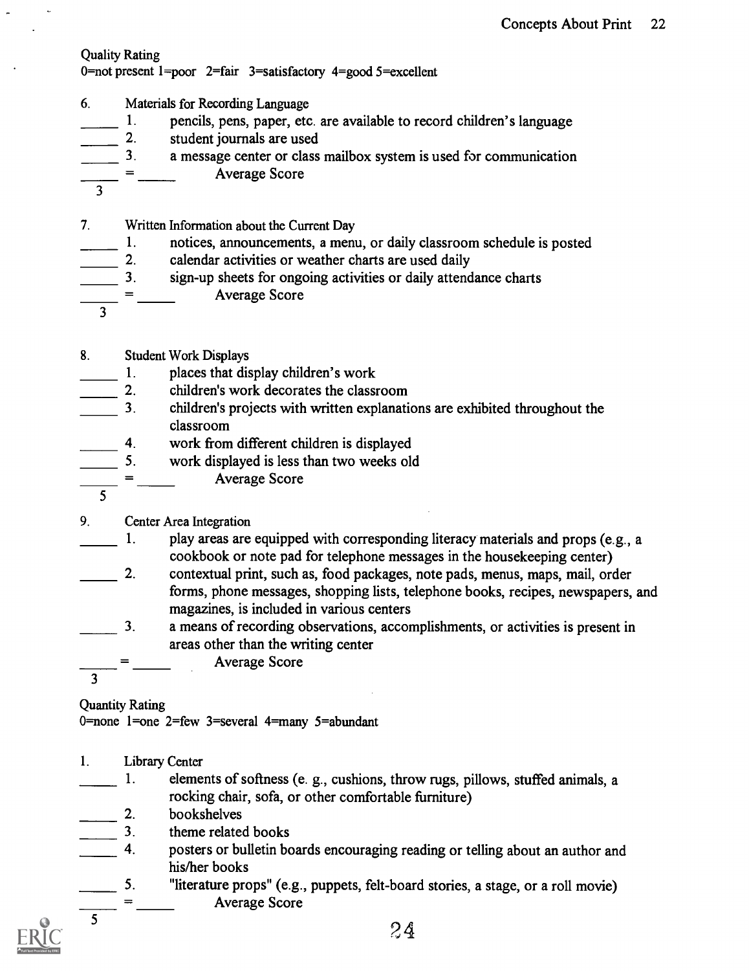## Quality Rating

0=not present 1=poor 2=fair 3=satisfactory 4=good 5=excellent

- 6. Materials for Recording Language
- 1. pencils, pens, paper, etc. are available to record children's language<br>2. student journals are used<br>3. a message center or class mailbox system is used for communication
- student journals are used
- a message center or class mailbox system is used for communication Average Score
- 3
- 7. Written Information about the Current Day
- 1. notices, announcements, a menu, or daily classroom schedule is posted<br>2. calendar activities or weather charts are used daily
- 2. calendar activities or weather charts are used daily<br>3. sign-up sheets for ongoing activities or daily attend
- sign-up sheets for ongoing activities or daily attendance charts
	- Average Score
- 8. Student Work Displays

3

- 
- 1. places that display children's work<br>2. children's work decorates the class
- 2. children's work decorates the classroom<br>3. children's projects with written explanati 3. children's projects with written explanations are exhibited throughout the classroom
- 
- 4. work from different children is displayed<br>5. work displayed is less than two weeks old work displayed is less than two weeks old
	- Average Score  $\mathbb{R}^{\mathbb{Z}}$
- 5
- 9. Center Area Integration
- 1. play areas are equipped with corresponding literacy materials and props (e.g., a cookbook or note pad for telephone messages in the housekeeping center)
- 2. contextual print, such as, food packages, note pads, menus, maps, mail, order forms, phone messages, shopping lists, telephone books, recipes, newspapers, and magazines, is included in various centers
- 3. a means of recording observations, accomplishments, or activities is present in areas other than the writing center
	- Average Score

3

Quantity Rating

0=none 1=one 2=few 3=several 4=many 5=abundant

- 1. Library Center
- 1. elements of softness (e. g., cushions, throw rugs, pillows, stuffed animals, a rocking chair, sofa, or other comfortable furniture)
- 
- $\frac{2}{3}$  bookshelves<br>theme related theme related books
- 4. posters or bulletin boards encouraging reading or telling about an author and his/her books
	- 5. "literature props" (e.g., puppets, felt-board stories, a stage, or a roll movie) Average Score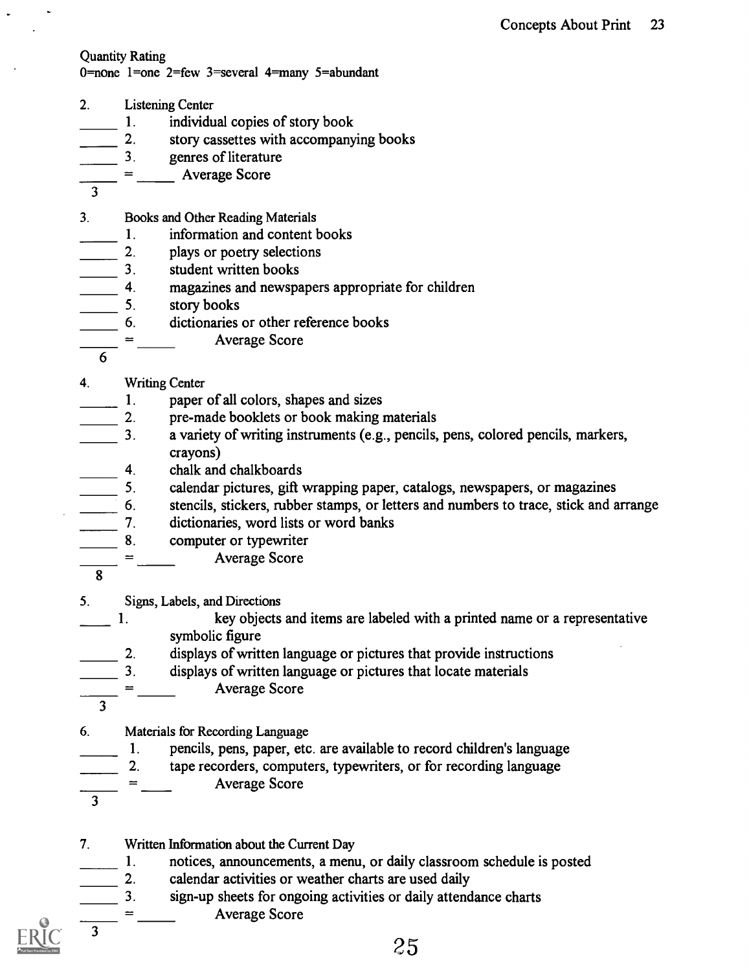## Quantity Rating

0=none 1=one 2=few 3=several 4=many 5=abundant

- 2. Listening Center
- 1. individual copies of story book
- 2. story cassettes with accompanying books
- 3. genres of literature
- Average Score
- 3
- 3. Books and Other Reading Materials
- 1. information and content books<br>2. plays or poetry selections
- 2. plays or poetry selections
- 3. student written books
- 4. magazines and newspapers appropriate for children<br>
5. story books
- 5. story books
- 6. dictionaries or other reference books
	- Average Score
- 6
- 4. Writing Center
- 1. paper of all colors, shapes and sizes
- 2. pre-made booklets or book making materials
- 3. a variety of writing instruments (e.g., pencils, pens, colored pencils, markers, crayons)
- 4. chalk and chalkboards
- 5. calendar pictures, gift wrapping paper, catalogs, newspapers, or magazines
- stencils, stickers, rubber stamps, or letters and numbers to trace, stick and arrange
- 7. dictionaries, word lists or word banks
- 8. computer or typewriter
	- Average Score
- 8
- 5. Signs, Labels, and Directions
- 1. key objects and items are labeled with a printed name or a representative symbolic figure
- 2. displays of written language or pictures that provide instructions
- 3. displays of written language or pictures that locate materials
- Average Score
- 3
- 6. Materials for Recording Language
- 1. pencils, pens, paper, etc. are available to record children's language
	- 2. tape recorders, computers, typewriters, or for recording language
	- Average Score
- 3

3

- 7. Written Information about the Current Day
- 1. notices, announcements, a menu, or daily classroom schedule is posted
- 
- 2. calendar activities or weather charts are used daily<br>3. sign-up sheets for ongoing activities or daily attend<br>4. Average Score sign-up sheets for ongoing activities or daily attendance charts

Average Score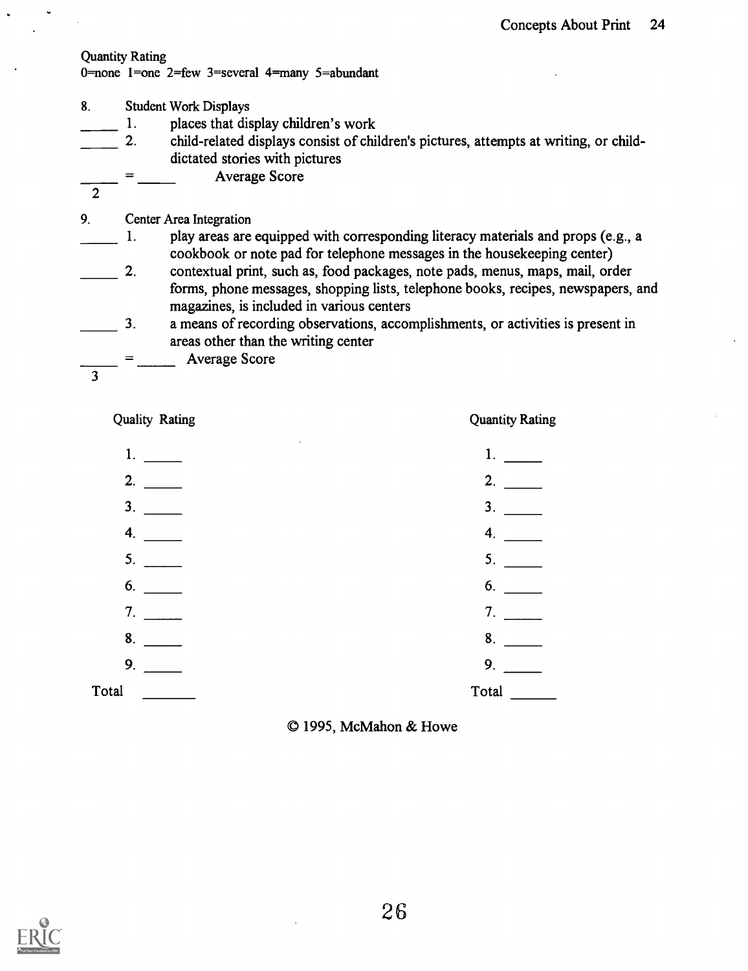### Quantity Rating

0=none 1=one 2=few 3=several 4=many 5=abundant

- 8. Student Work Displays
	- 1. places that display children's work

2. child-related displays consist of children's pictures, attempts at writing, or childdictated stories with pictures

Average Score

2

9. Center Area Integration

- 1. play areas are equipped with corresponding literacy materials and props (e.g., a cookbook or note pad for telephone messages in the housekeeping center)
- 2. contextual print, such as, food packages, note pads, menus, maps, mail, order forms, phone messages, shopping lists, telephone books, recipes, newspapers, and magazines, is included in various centers
- 3. a means of recording observations, accomplishments, or activities is present in areas other than the writing center
	- Average Score
- 3

Quality Rating

Quantity Rating

| 1.             | 1.               |
|----------------|------------------|
| 2.             | 2.               |
| 3 <sub>1</sub> | 3.               |
| 4.             | $\boldsymbol{4}$ |
| 5.             | 5.               |
| 6.             | 6.               |
| 7.             | 7.               |
| 8.             | 8.               |
| 9.             | 9.               |
| Total          | Total            |
|                |                  |

© 1995, McMahon & Howe